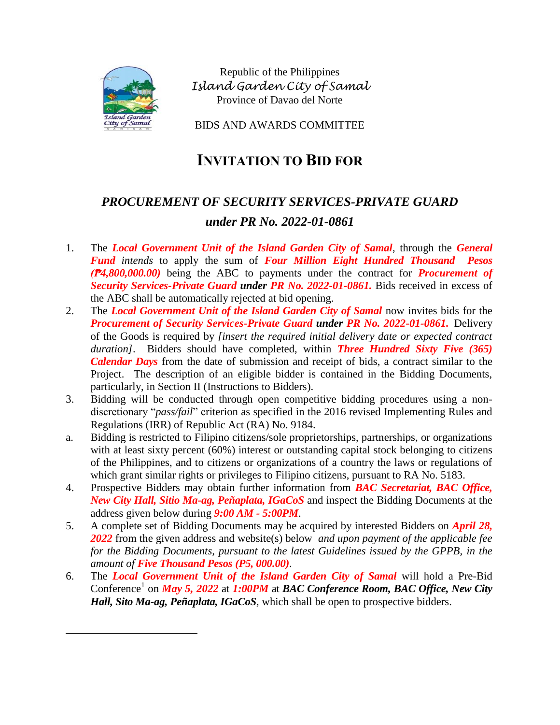

 $\overline{\phantom{a}}$ 

Republic of the Philippines *Island Garden City of Samal* Province of Davao del Norte

BIDS AND AWARDS COMMITTEE

## **INVITATION TO BID FOR**

## *PROCUREMENT OF SECURITY SERVICES-PRIVATE GUARD under PR No. 2022-01-0861*

- 1. The *Local Government Unit of the Island Garden City of Samal*, through the *General Fund intends* to apply the sum of *Four Million Eight Hundred Thousand Pesos (₱4,800,000.00)* being the ABC to payments under the contract for *Procurement of Security Services-Private Guard under PR No. 2022-01-0861.* Bids received in excess of the ABC shall be automatically rejected at bid opening.
- 2. The *Local Government Unit of the Island Garden City of Samal* now invites bids for the *Procurement of Security Services-Private Guard under PR No. 2022-01-0861.* Delivery of the Goods is required by *[insert the required initial delivery date or expected contract duration]*. Bidders should have completed, within *Three Hundred Sixty Five (365) Calendar Days* from the date of submission and receipt of bids, a contract similar to the Project. The description of an eligible bidder is contained in the Bidding Documents, particularly, in Section II (Instructions to Bidders).
- 3. Bidding will be conducted through open competitive bidding procedures using a nondiscretionary "*pass/fail*" criterion as specified in the 2016 revised Implementing Rules and Regulations (IRR) of Republic Act (RA) No. 9184.
- a. Bidding is restricted to Filipino citizens/sole proprietorships, partnerships, or organizations with at least sixty percent (60%) interest or outstanding capital stock belonging to citizens of the Philippines, and to citizens or organizations of a country the laws or regulations of which grant similar rights or privileges to Filipino citizens, pursuant to RA No. 5183.
- 4. Prospective Bidders may obtain further information from *BAC Secretariat, BAC Office, New City Hall, Sitio Ma-ag, Peñaplata, IGaCoS* and inspect the Bidding Documents at the address given below during *9:00 AM - 5:00PM*.
- 5. A complete set of Bidding Documents may be acquired by interested Bidders on *April 28, 2022* from the given address and website(s) below *and upon payment of the applicable fee for the Bidding Documents, pursuant to the latest Guidelines issued by the GPPB, in the amount of Five Thousand Pesos (P5, 000.00)*.
- 6. The *Local Government Unit of the Island Garden City of Samal* will hold a Pre-Bid Conference<sup>1</sup> on *May 5, 2022* at *1:00PM* at *BAC Conference Room, BAC Office, New City Hall, Sito Ma-ag, Peñaplata, IGaCoS,* which shall be open to prospective bidders.